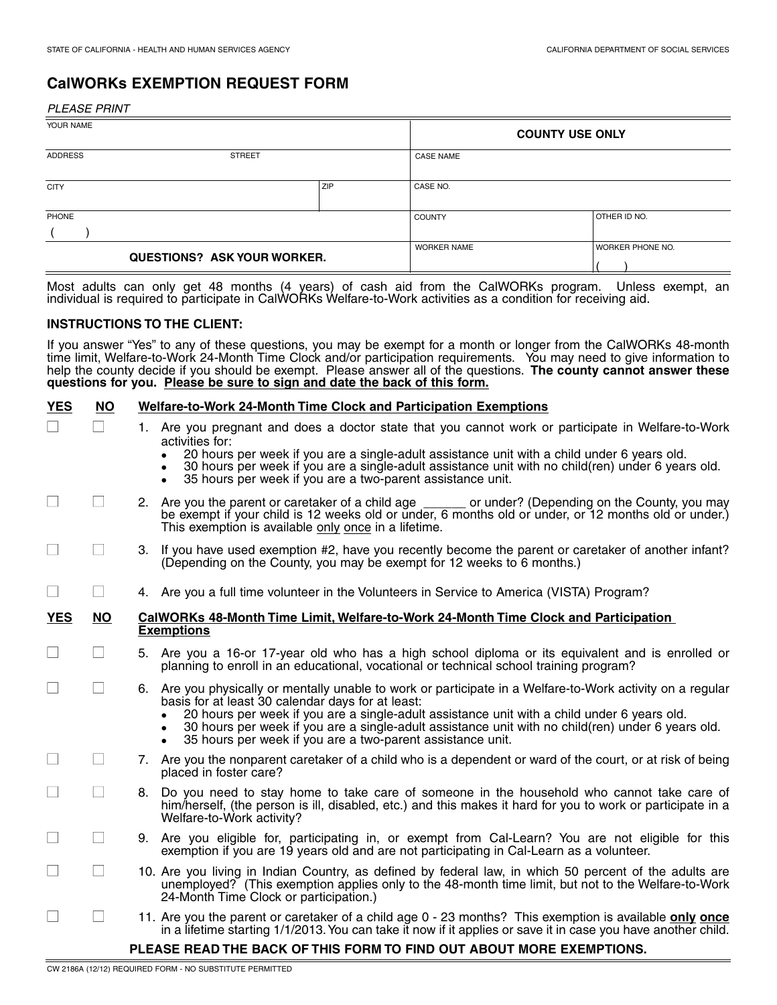# **CalWORKs EXEMPTION REQUEST FORM**

PLEASE PRINT

| YOUR NAME                          |     | <b>COUNTY USE ONLY</b> |                         |
|------------------------------------|-----|------------------------|-------------------------|
| ADDRESS<br><b>STREET</b>           |     | <b>CASE NAME</b>       |                         |
| <b>CITY</b>                        | ZIP | CASE NO.               |                         |
| PHONE                              |     | <b>COUNTY</b>          | OTHER ID NO.            |
|                                    |     |                        |                         |
| <b>QUESTIONS? ASK YOUR WORKER.</b> |     | <b>WORKER NAME</b>     | <b>WORKER PHONE NO.</b> |

Most adults can only get 48 months (4 years) of cash aid from the CalWORKs program. Unless exempt, an individual is required to participate in CalWORKs Welfare-to-Work activities as a condition for receiving aid.

### **INSTRUCTIONS TO THE CLIENT:**

If you answer "Yes" to any of these questions, you may be exempt for a month or longer from the CalWORKs 48-month time limit, Welfare-to-Work 24-Month Time Clock and/or participation requirements. You may need to give information to help the county decide if you should be exempt. Please answer all of the questions. **The county cannot answer these questions for you. Please be sure to sign and date the back of this form.** 

| <b>YES</b> | <b>NO</b>                | <b>Welfare-to-Work 24-Month Time Clock and Participation Exemptions</b>                                                                                                                                                                                                                                                                                                                                                                        |  |  |
|------------|--------------------------|------------------------------------------------------------------------------------------------------------------------------------------------------------------------------------------------------------------------------------------------------------------------------------------------------------------------------------------------------------------------------------------------------------------------------------------------|--|--|
|            |                          | 1. Are you pregnant and does a doctor state that you cannot work or participate in Welfare-to-Work<br>activities for:<br>20 hours per week if you are a single-adult assistance unit with a child under 6 years old.<br>30 hours per week if you are a single-adult assistance unit with no child(ren) under 6 years old.<br>35 hours per week if you are a two-parent assistance unit.                                                        |  |  |
|            | $\mathbb{R}^2$           | 2. Are you the parent or caretaker of a child age ______ or under? (Depending on the County, you may<br>be exempt if your child is 12 weeks old or under, 6 months old or under, or 12 months old or under.)<br>This exemption is available only once in a lifetime.                                                                                                                                                                           |  |  |
|            | $\Box$                   | 3. If you have used exemption #2, have you recently become the parent or caretaker of another infant?<br>(Depending on the County, you may be exempt for 12 weeks to 6 months.)                                                                                                                                                                                                                                                                |  |  |
|            | $\vert \ \ \vert$        | 4. Are you a full time volunteer in the Volunteers in Service to America (VISTA) Program?                                                                                                                                                                                                                                                                                                                                                      |  |  |
| <b>YES</b> | <b>NO</b>                | CalWORKs 48-Month Time Limit, Welfare-to-Work 24-Month Time Clock and Participation<br><b>Exemptions</b>                                                                                                                                                                                                                                                                                                                                       |  |  |
|            | $\overline{\phantom{a}}$ | 5. Are you a 16-or 17-year old who has a high school diploma or its equivalent and is enrolled or<br>planning to enroll in an educational, vocational or technical school training program?                                                                                                                                                                                                                                                    |  |  |
|            | $\mathbb{Z}^2$           | 6. Are you physically or mentally unable to work or participate in a Welfare-to-Work activity on a regular<br>basis for at least 30 calendar days for at least:<br>20 hours per week if you are a single-adult assistance unit with a child under 6 years old.<br>30 hours per week if you are a single-adult assistance unit with no child(ren) under 6 years old.<br>35 hours per week if you are a two-parent assistance unit.<br>$\bullet$ |  |  |
|            | $\Box$                   | 7. Are you the nonparent caretaker of a child who is a dependent or ward of the court, or at risk of being<br>placed in foster care?                                                                                                                                                                                                                                                                                                           |  |  |
|            | $\Box$                   | 8. Do you need to stay home to take care of someone in the household who cannot take care of<br>him/herself, (the person is ill, disabled, etc.) and this makes it hard for you to work or participate in a<br>Welfare-to-Work activity?                                                                                                                                                                                                       |  |  |
|            | $\Box$                   | 9. Are you eligible for, participating in, or exempt from Cal-Learn? You are not eligible for this<br>exemption if you are 19 years old and are not participating in Cal-Learn as a volunteer.                                                                                                                                                                                                                                                 |  |  |
|            | $\Box$                   | 10. Are you living in Indian Country, as defined by federal law, in which 50 percent of the adults are<br>unemployed? (This exemption applies only to the 48-month time limit, but not to the Welfare-to-Work<br>24-Month Time Clock or participation.)                                                                                                                                                                                        |  |  |
|            | $\Box$                   | 11. Are you the parent or caretaker of a child age 0 - 23 months? This exemption is available only once<br>in a lifetime starting 1/1/2013. You can take it now if it applies or save it in case you have another child.                                                                                                                                                                                                                       |  |  |
|            |                          | PLEASE READ THE BACK OF THIS FORM TO FIND OUT ABOUT MORE EXEMPTIONS.                                                                                                                                                                                                                                                                                                                                                                           |  |  |